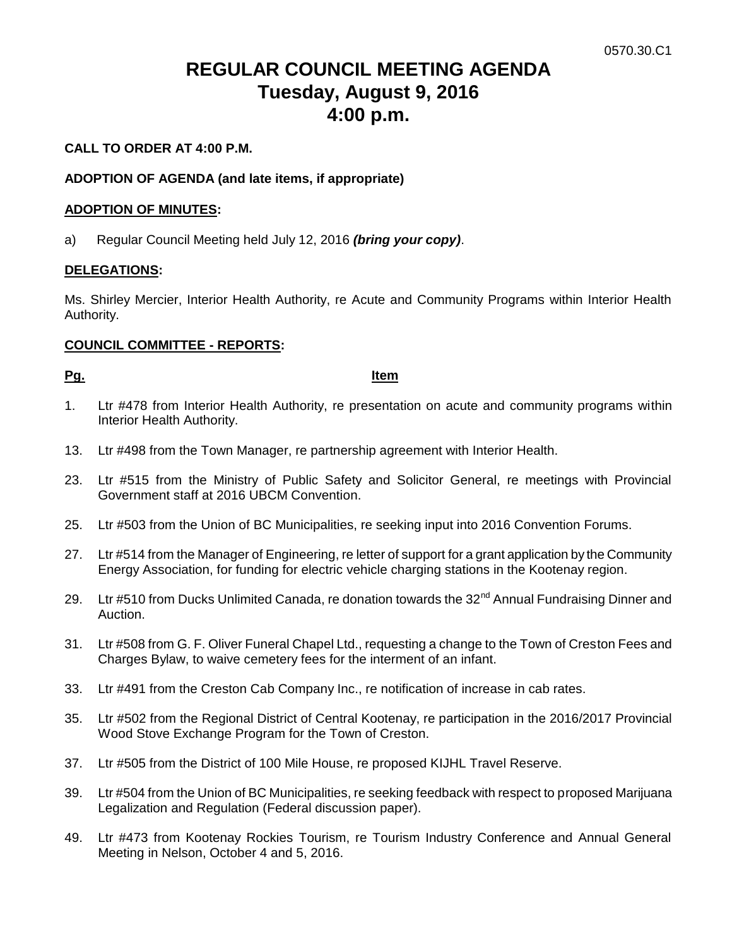# **REGULAR COUNCIL MEETING AGENDA Tuesday, August 9, 2016 4:00 p.m.**

## **CALL TO ORDER AT 4:00 P.M.**

### **ADOPTION OF AGENDA (and late items, if appropriate)**

#### **ADOPTION OF MINUTES:**

a) Regular Council Meeting held July 12, 2016 *(bring your copy)*.

#### **DELEGATIONS:**

Ms. Shirley Mercier, Interior Health Authority, re Acute and Community Programs within Interior Health Authority.

## **COUNCIL COMMITTEE - REPORTS:**

#### **Pg. Item**

- 1. Ltr #478 from Interior Health Authority, re presentation on acute and community programs within Interior Health Authority.
- 13. Ltr #498 from the Town Manager, re partnership agreement with Interior Health.
- 23. Ltr #515 from the Ministry of Public Safety and Solicitor General, re meetings with Provincial Government staff at 2016 UBCM Convention.
- 25. Ltr #503 from the Union of BC Municipalities, re seeking input into 2016 Convention Forums.
- 27. Ltr #514 from the Manager of Engineering, re letter of support for a grant application by the Community Energy Association, for funding for electric vehicle charging stations in the Kootenay region.
- 29. Ltr #510 from Ducks Unlimited Canada, re donation towards the 32<sup>nd</sup> Annual Fundraising Dinner and Auction.
- 31. Ltr #508 from G. F. Oliver Funeral Chapel Ltd., requesting a change to the Town of Creston Fees and Charges Bylaw, to waive cemetery fees for the interment of an infant.
- 33. Ltr #491 from the Creston Cab Company Inc., re notification of increase in cab rates.
- 35. Ltr #502 from the Regional District of Central Kootenay, re participation in the 2016/2017 Provincial Wood Stove Exchange Program for the Town of Creston.
- 37. Ltr #505 from the District of 100 Mile House, re proposed KIJHL Travel Reserve.
- 39. Ltr #504 from the Union of BC Municipalities, re seeking feedback with respect to proposed Marijuana Legalization and Regulation (Federal discussion paper).
- 49. Ltr #473 from Kootenay Rockies Tourism, re Tourism Industry Conference and Annual General Meeting in Nelson, October 4 and 5, 2016.